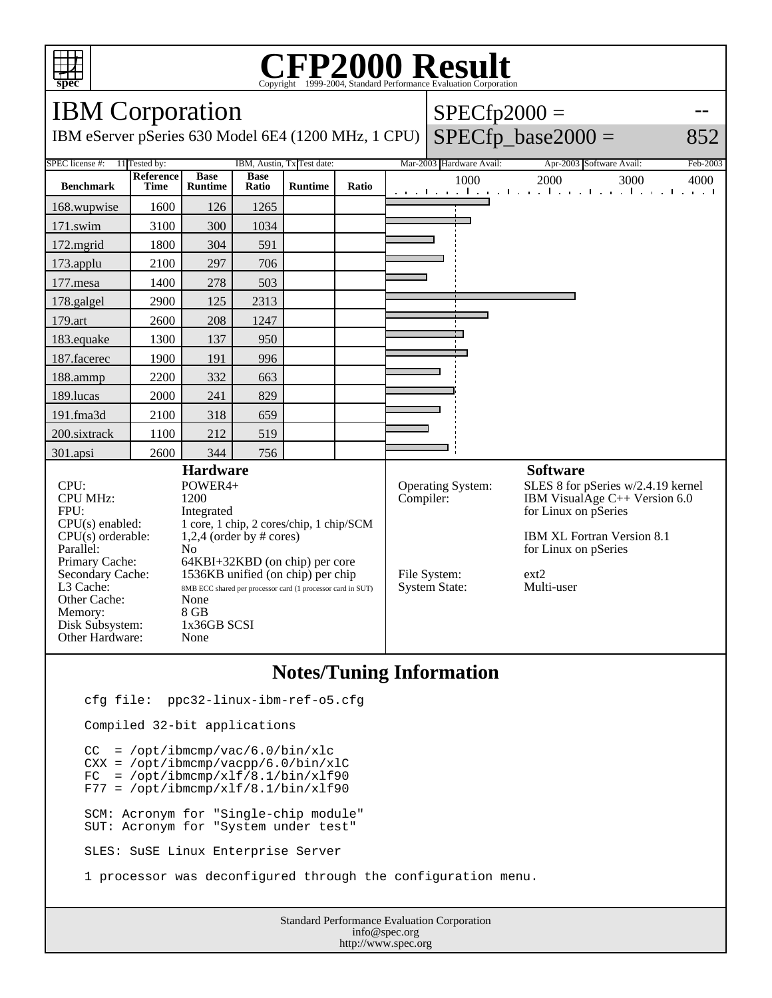

## Copyright ©1999-2004, Standard Performance Evaluation Corporation

| <b>IBM</b> Corporation                                                                                                                                                                                                                                                                                                                                                                                                                                                                                                                    |                          |                               |                      |                |       |                                                                                                                                                                                                                                                                                      | $SPECfp2000 =$           |                                                       |          |  |
|-------------------------------------------------------------------------------------------------------------------------------------------------------------------------------------------------------------------------------------------------------------------------------------------------------------------------------------------------------------------------------------------------------------------------------------------------------------------------------------------------------------------------------------------|--------------------------|-------------------------------|----------------------|----------------|-------|--------------------------------------------------------------------------------------------------------------------------------------------------------------------------------------------------------------------------------------------------------------------------------------|--------------------------|-------------------------------------------------------|----------|--|
| IBM eServer pSeries 630 Model 6E4 (1200 MHz, 1 CPU)                                                                                                                                                                                                                                                                                                                                                                                                                                                                                       |                          |                               |                      |                |       |                                                                                                                                                                                                                                                                                      |                          | $SPECfp\_base2000 =$                                  | 852      |  |
| 11 Tested by:<br>IBM, Austin, Tx Test date:<br>SPEC license #:                                                                                                                                                                                                                                                                                                                                                                                                                                                                            |                          |                               |                      |                |       |                                                                                                                                                                                                                                                                                      | Mar-2003 Hardware Avail: | Apr-2003 Software Avail:                              | Feb-2003 |  |
| <b>Benchmark</b>                                                                                                                                                                                                                                                                                                                                                                                                                                                                                                                          | Reference<br><b>Time</b> | <b>Base</b><br><b>Runtime</b> | <b>Base</b><br>Ratio | <b>Runtime</b> | Ratio |                                                                                                                                                                                                                                                                                      | 1000                     | 2000<br>3000<br>الكوابية كالكوياء وكالموجاء وكالموجاء | 4000     |  |
| 168.wupwise                                                                                                                                                                                                                                                                                                                                                                                                                                                                                                                               | 1600                     | 126                           | 1265                 |                |       |                                                                                                                                                                                                                                                                                      |                          |                                                       |          |  |
| 171.swim                                                                                                                                                                                                                                                                                                                                                                                                                                                                                                                                  | 3100                     | 300                           | 1034                 |                |       |                                                                                                                                                                                                                                                                                      |                          |                                                       |          |  |
| 172.mgrid                                                                                                                                                                                                                                                                                                                                                                                                                                                                                                                                 | 1800                     | 304                           | 591                  |                |       |                                                                                                                                                                                                                                                                                      |                          |                                                       |          |  |
| 173.applu                                                                                                                                                                                                                                                                                                                                                                                                                                                                                                                                 | 2100                     | 297                           | 706                  |                |       |                                                                                                                                                                                                                                                                                      |                          |                                                       |          |  |
| 177.mesa                                                                                                                                                                                                                                                                                                                                                                                                                                                                                                                                  | 1400                     | 278                           | 503                  |                |       |                                                                                                                                                                                                                                                                                      |                          |                                                       |          |  |
| 178.galgel                                                                                                                                                                                                                                                                                                                                                                                                                                                                                                                                | 2900                     | 125                           | 2313                 |                |       |                                                                                                                                                                                                                                                                                      |                          |                                                       |          |  |
| 179.art                                                                                                                                                                                                                                                                                                                                                                                                                                                                                                                                   | 2600                     | 208                           | 1247                 |                |       |                                                                                                                                                                                                                                                                                      |                          |                                                       |          |  |
| 183.equake                                                                                                                                                                                                                                                                                                                                                                                                                                                                                                                                | 1300                     | 137                           | 950                  |                |       |                                                                                                                                                                                                                                                                                      |                          |                                                       |          |  |
| 187.facerec                                                                                                                                                                                                                                                                                                                                                                                                                                                                                                                               | 1900                     | 191                           | 996                  |                |       |                                                                                                                                                                                                                                                                                      |                          |                                                       |          |  |
| 188.ammp                                                                                                                                                                                                                                                                                                                                                                                                                                                                                                                                  | 2200                     | 332                           | 663                  |                |       |                                                                                                                                                                                                                                                                                      |                          |                                                       |          |  |
| 189.lucas                                                                                                                                                                                                                                                                                                                                                                                                                                                                                                                                 | 2000                     | 241                           | 829                  |                |       |                                                                                                                                                                                                                                                                                      |                          |                                                       |          |  |
| 191.fma3d                                                                                                                                                                                                                                                                                                                                                                                                                                                                                                                                 | 2100                     | 318                           | 659                  |                |       |                                                                                                                                                                                                                                                                                      |                          |                                                       |          |  |
| 200.sixtrack                                                                                                                                                                                                                                                                                                                                                                                                                                                                                                                              | 1100                     | 212                           | 519                  |                |       |                                                                                                                                                                                                                                                                                      |                          |                                                       |          |  |
| 301.apsi                                                                                                                                                                                                                                                                                                                                                                                                                                                                                                                                  | 2600                     | 344                           | 756                  |                |       |                                                                                                                                                                                                                                                                                      |                          |                                                       |          |  |
| <b>Hardware</b><br>CPU:<br>POWER4+<br><b>CPU MHz:</b><br>1200<br>FPU:<br>Integrated<br>$CPU(s)$ enabled:<br>1 core, 1 chip, 2 cores/chip, 1 chip/SCM<br>$CPU(s)$ orderable:<br>$1,2,4$ (order by # cores)<br>Parallel:<br>N <sub>o</sub><br>Primary Cache:<br>64KBI+32KBD (on chip) per core<br>1536KB unified (on chip) per chip<br>Secondary Cache:<br>L3 Cache:<br>8MB ECC shared per processor card (1 processor card in SUT)<br>Other Cache:<br>None<br>8 GB<br>Memory:<br>1x36GB SCSI<br>Disk Subsystem:<br>Other Hardware:<br>None |                          |                               |                      |                |       | <b>Software</b><br>SLES 8 for pSeries w/2.4.19 kernel<br><b>Operating System:</b><br>Compiler:<br>IBM VisualAge $C++$ Version 6.0<br>for Linux on pSeries<br><b>IBM XL Fortran Version 8.1</b><br>for Linux on pSeries<br>File System:<br>ext2<br>Multi-user<br><b>System State:</b> |                          |                                                       |          |  |

## **Notes/Tuning Information**

cfg file: ppc32-linux-ibm-ref-o5.cfg

Compiled 32-bit applications

 CC = /opt/ibmcmp/vac/6.0/bin/xlc CXX = /opt/ibmcmp/vacpp/6.0/bin/xlC  $FC = /opt/ibmcmp/xlf/8.1/bin/xlf90$  $F77 = /opt/ibmcmp/xlf/8.1/bin/xlf90$  SCM: Acronym for "Single-chip module" SUT: Acronym for "System under test"

SLES: SuSE Linux Enterprise Server

1 processor was deconfigured through the configuration menu.

Standard Performance Evaluation Corporation info@spec.org http://www.spec.org